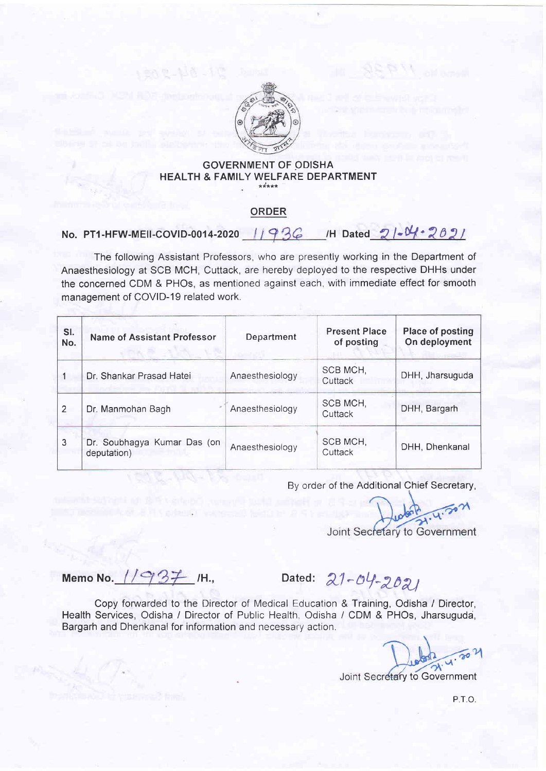

## **GOVERNMENT OF ODISHA** HEALTH & FAMILY WELFARE DEPARTMENT

## ORDER

## No. PT1-HFW-MEII-COVID-0014-2020 1936 /H Dated  $21 - N + 202$

The following Assistant Professors, who are presently working in the Department of Anaesthesiology at SCB MCH, Cuttack, are hereby deployed to the respective DHHs under the concerned CDM & PHOs, as mentioned against each, with immediate effect for smooth management of COVID-19 related work.

| SI.<br>No.     | <b>Name of Assistant Professor</b>         | Department      | <b>Present Place</b><br>of posting | <b>Place of posting</b><br>On deployment |
|----------------|--------------------------------------------|-----------------|------------------------------------|------------------------------------------|
|                | Dr. Shankar Prasad Hatei                   | Anaesthesiology | SCB MCH,<br>Cuttack                | DHH, Jharsuguda                          |
| $\overline{2}$ | Dr. Manmohan Bagh                          | Anaesthesiology | SCB MCH,<br>Cuttack                | DHH, Bargarh                             |
| 3              | Dr. Soubhagya Kumar Das (on<br>deputation) | Anaesthesiology | SCB MCH,<br>Cuttack                | DHH, Dhenkanal                           |

By order of the Additional Chief Secretary,

Joint Secretary to Government

Memo No.  $11937$  /H., Dated:  $21-04-2021$ 

Copy forwarded to the Director of Medical Education & Training, Odisha / Director, Health Services, Odisha / Director of Public Health, Odisha / CDM & PHOs, Jharsuguda, Bargarh and Dhenkanal for information and necessary action.

Joint Secretary to Government

P.T.O.